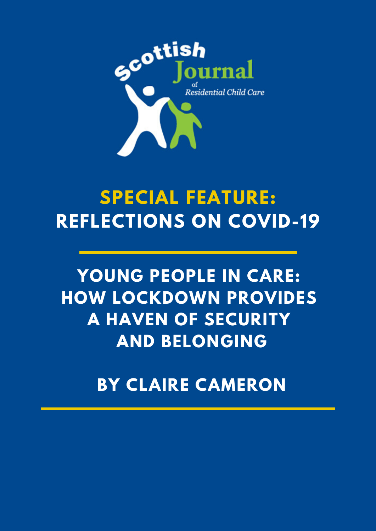

# **SPECIAL FEATURE: REFLECTIONS ON COVID-19**

## **YOUNG PEOPLE IN CARE: HOW LOCKDOWN PROVIDES A HAVEN OF SECURITY AND BELONGING**

**BY CLAIRE CAMERON**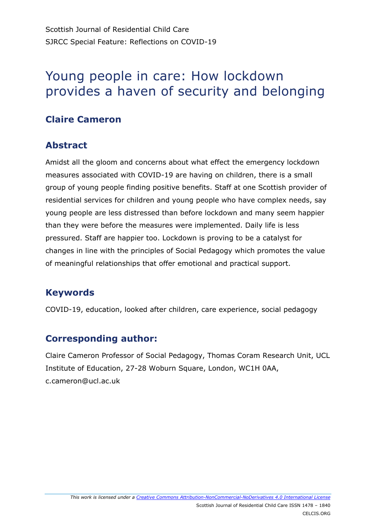### Young people in care: How lockdown provides a haven of security and belonging

#### **Claire Cameron**

#### **Abstract**

Amidst all the gloom and concerns about what effect the emergency lockdown measures associated with COVID-19 are having on children, there is a small group of young people finding positive benefits. Staff at one Scottish provider of residential services for children and young people who have complex needs, say young people are less distressed than before lockdown and many seem happier than they were before the measures were implemented. Daily life is less pressured. Staff are happier too. Lockdown is proving to be a catalyst for changes in line with the principles of Social Pedagogy which promotes the value of meaningful relationships that offer emotional and practical support.

#### **Keywords**

COVID-19, education, looked after children, care experience, social pedagogy

#### **Corresponding author:**

Claire Cameron Professor of Social Pedagogy, Thomas Coram Research Unit, UCL Institute of Education, 27-28 Woburn Square, London, WC1H 0AA, c.cameron@ucl.ac.uk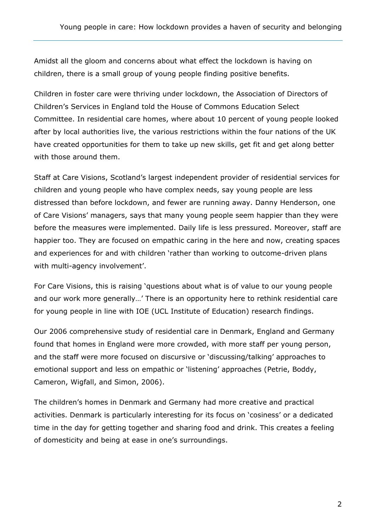Amidst all the gloom and concerns about what effect the lockdown is having on children, there is a small group of young people finding positive benefits.

Children in foster care were thriving under lockdown, the Association of Directors of Children's Services in England told the House of Commons Education Select Committee. In residential care homes, where about 10 percent of young people looked after by local authorities live, the various restrictions within the four nations of the UK have created opportunities for them to take up new skills, get fit and get along better with those around them.

Staff at Care Visions, Scotland's largest independent provider of residential services for children and young people who have complex needs, say young people are less distressed than before lockdown, and fewer are running away. Danny Henderson, one of Care Visions' managers, says that many young people seem happier than they were before the measures were implemented. Daily life is less pressured. Moreover, staff are happier too. They are focused on empathic caring in the here and now, creating spaces and experiences for and with children 'rather than working to outcome-driven plans with multi-agency involvement'.

For Care Visions, this is raising 'questions about what is of value to our young people and our work more generally…' There is an opportunity here to rethink residential care for young people in line with IOE (UCL Institute of Education) research findings.

Our 2006 comprehensive study of residential care in Denmark, England and Germany found that homes in England were more crowded, with more staff per young person, and the staff were more focused on discursive or 'discussing/talking' approaches to emotional support and less on empathic or 'listening' approaches (Petrie, Boddy, Cameron, Wigfall, and Simon, 2006).

The children's homes in Denmark and Germany had more creative and practical activities. Denmark is particularly interesting for its focus on 'cosiness' or a dedicated time in the day for getting together and sharing food and drink. This creates a feeling of domesticity and being at ease in one's surroundings.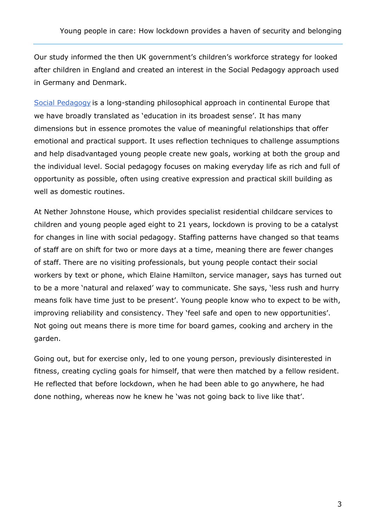Our study informed the then UK government's children's workforce strategy for looked after children in England and created an interest in the Social Pedagogy approach used in Germany and Denmark.

[Social Pedagogy](https://discovery.ucl.ac.uk/id/eprint/10000058/1/may_18_09_Ped_BRIEFING__PAPER_JB_PP_.pdf) is a long-standing philosophical approach in continental Europe that we have broadly translated as 'education in its broadest sense'. It has many dimensions but in essence promotes the value of meaningful relationships that offer emotional and practical support. It uses reflection techniques to challenge assumptions and help disadvantaged young people create new goals, working at both the group and the individual level. Social pedagogy focuses on making everyday life as rich and full of opportunity as possible, often using creative expression and practical skill building as well as domestic routines.

At Nether Johnstone House, which provides specialist residential childcare services to children and young people aged eight to 21 years, lockdown is proving to be a catalyst for changes in line with social pedagogy. Staffing patterns have changed so that teams of staff are on shift for two or more days at a time, meaning there are fewer changes of staff. There are no visiting professionals, but young people contact their social workers by text or phone, which Elaine Hamilton, service manager, says has turned out to be a more 'natural and relaxed' way to communicate. She says, 'less rush and hurry means folk have time just to be present'. Young people know who to expect to be with, improving reliability and consistency. They 'feel safe and open to new opportunities'. Not going out means there is more time for board games, cooking and archery in the garden.

Going out, but for exercise only, led to one young person, previously disinterested in fitness, creating cycling goals for himself, that were then matched by a fellow resident. He reflected that before lockdown, when he had been able to go anywhere, he had done nothing, whereas now he knew he 'was not going back to live like that'.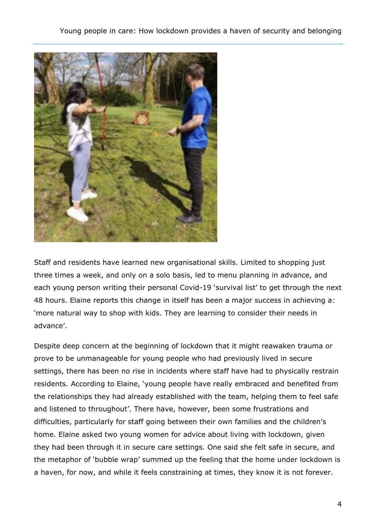

Staff and residents have learned new organisational skills. Limited to shopping just three times a week, and only on a solo basis, led to menu planning in advance, and each young person writing their personal Covid-19 'survival list' to get through the next 48 hours. Elaine reports this change in itself has been a major success in achieving a: 'more natural way to shop with kids. They are learning to consider their needs in advance'.

Despite deep concern at the beginning of lockdown that it might reawaken trauma or prove to be unmanageable for young people who had previously lived in secure settings, there has been no rise in incidents where staff have had to physically restrain residents. According to Elaine, 'young people have really embraced and benefited from the relationships they had already established with the team, helping them to feel safe and listened to throughout'. There have, however, been some frustrations and difficulties, particularly for staff going between their own families and the children's home. Elaine asked two young women for advice about living with lockdown, given they had been through it in secure care settings. One said she felt safe in secure, and the metaphor of 'bubble wrap' summed up the feeling that the home under lockdown is a haven, for now, and while it feels constraining at times, they know it is not forever.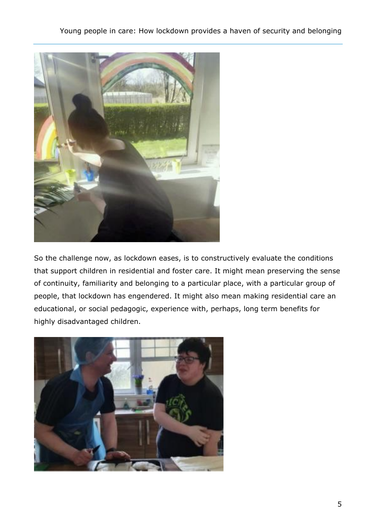

So the challenge now, as lockdown eases, is to constructively evaluate the conditions that support children in residential and foster care. It might mean preserving the sense of continuity, familiarity and belonging to a particular place, with a particular group of people, that lockdown has engendered. It might also mean making residential care an educational, or social pedagogic, experience with, perhaps, long term benefits for highly disadvantaged children.